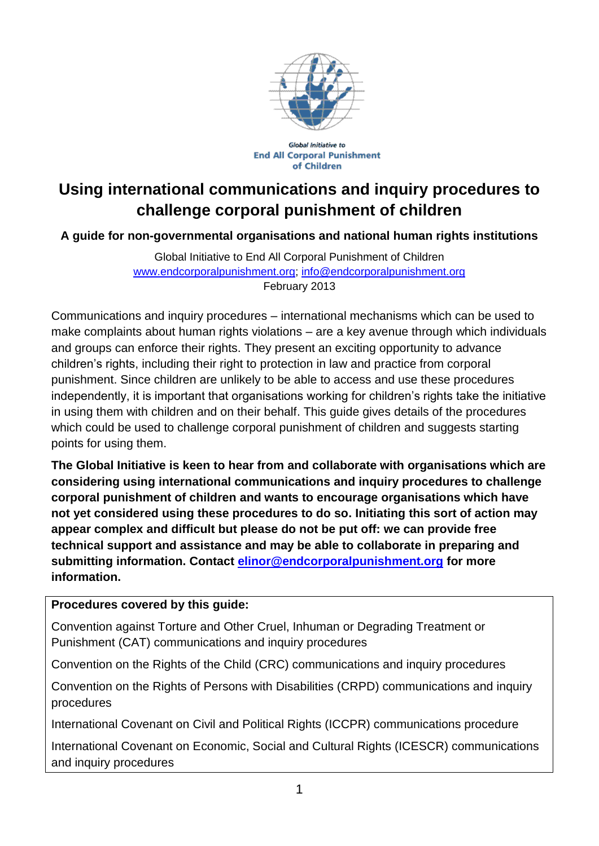

Global Initiative to **End All Corporal Punishment** of Children

# **Using international communications and inquiry procedures to challenge corporal punishment of children**

**A guide for non-governmental organisations and national human rights institutions**

Global Initiative to End All Corporal Punishment of Children [www.endcorporalpunishment.org;](http://www.endcorporalpunishment.org/) [info@endcorporalpunishment.org](mailto:info@endcorporalpunishment.org) February 2013

Communications and inquiry procedures – international mechanisms which can be used to make complaints about human rights violations – are a key avenue through which individuals and groups can enforce their rights. They present an exciting opportunity to advance children's rights, including their right to protection in law and practice from corporal punishment. Since children are unlikely to be able to access and use these procedures independently, it is important that organisations working for children's rights take the initiative in using them with children and on their behalf. This guide gives details of the procedures which could be used to challenge corporal punishment of children and suggests starting points for using them.

**The Global Initiative is keen to hear from and collaborate with organisations which are considering using international communications and inquiry procedures to challenge corporal punishment of children and wants to encourage organisations which have not yet considered using these procedures to do so. Initiating this sort of action may appear complex and difficult but please do not be put off: we can provide free technical support and assistance and may be able to collaborate in preparing and submitting information. Contact [elinor@endcorporalpunishment.org](mailto:elinor@endcorporalpunishment.org) for more information.** 

#### **Procedures covered by this guide:**

Convention against Torture and Other Cruel, Inhuman or Degrading Treatment or Punishment (CAT) communications and inquiry procedures

Convention on the Rights of the Child (CRC) communications and inquiry procedures

Convention on the Rights of Persons with Disabilities (CRPD) communications and inquiry procedures

International Covenant on Civil and Political Rights (ICCPR) communications procedure

International Covenant on Economic, Social and Cultural Rights (ICESCR) communications and inquiry procedures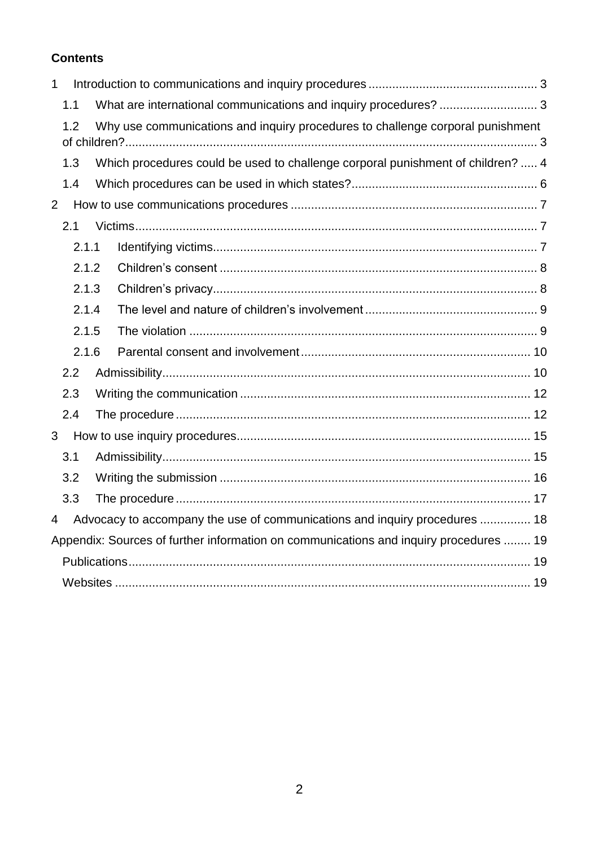#### **Contents**

| $\mathbf{1}$   |                                                                                       |                                                                                       |                                                                                 |  |  |
|----------------|---------------------------------------------------------------------------------------|---------------------------------------------------------------------------------------|---------------------------------------------------------------------------------|--|--|
|                | 1.1                                                                                   |                                                                                       | What are international communications and inquiry procedures?  3                |  |  |
|                | Why use communications and inquiry procedures to challenge corporal punishment<br>1.2 |                                                                                       |                                                                                 |  |  |
|                |                                                                                       |                                                                                       |                                                                                 |  |  |
|                | 1.3                                                                                   |                                                                                       | Which procedures could be used to challenge corporal punishment of children?  4 |  |  |
|                | 1.4                                                                                   |                                                                                       |                                                                                 |  |  |
| $\overline{2}$ |                                                                                       |                                                                                       |                                                                                 |  |  |
|                | 2.1                                                                                   |                                                                                       |                                                                                 |  |  |
|                | 2.1.1                                                                                 |                                                                                       |                                                                                 |  |  |
|                | 2.1.2                                                                                 |                                                                                       |                                                                                 |  |  |
|                | 2.1.3                                                                                 |                                                                                       |                                                                                 |  |  |
|                | 2.1.4                                                                                 |                                                                                       |                                                                                 |  |  |
|                | 2.1.5                                                                                 |                                                                                       |                                                                                 |  |  |
|                | 2.1.6                                                                                 |                                                                                       |                                                                                 |  |  |
|                | 2.2                                                                                   |                                                                                       |                                                                                 |  |  |
| 2.3            |                                                                                       |                                                                                       |                                                                                 |  |  |
|                | 2.4                                                                                   |                                                                                       |                                                                                 |  |  |
| 3              |                                                                                       |                                                                                       |                                                                                 |  |  |
| 3.1            |                                                                                       |                                                                                       |                                                                                 |  |  |
|                | 3.2                                                                                   |                                                                                       |                                                                                 |  |  |
|                | 3.3                                                                                   |                                                                                       |                                                                                 |  |  |
| 4              |                                                                                       |                                                                                       | Advocacy to accompany the use of communications and inquiry procedures  18      |  |  |
|                |                                                                                       | Appendix: Sources of further information on communications and inquiry procedures  19 |                                                                                 |  |  |
|                |                                                                                       |                                                                                       |                                                                                 |  |  |
|                |                                                                                       |                                                                                       |                                                                                 |  |  |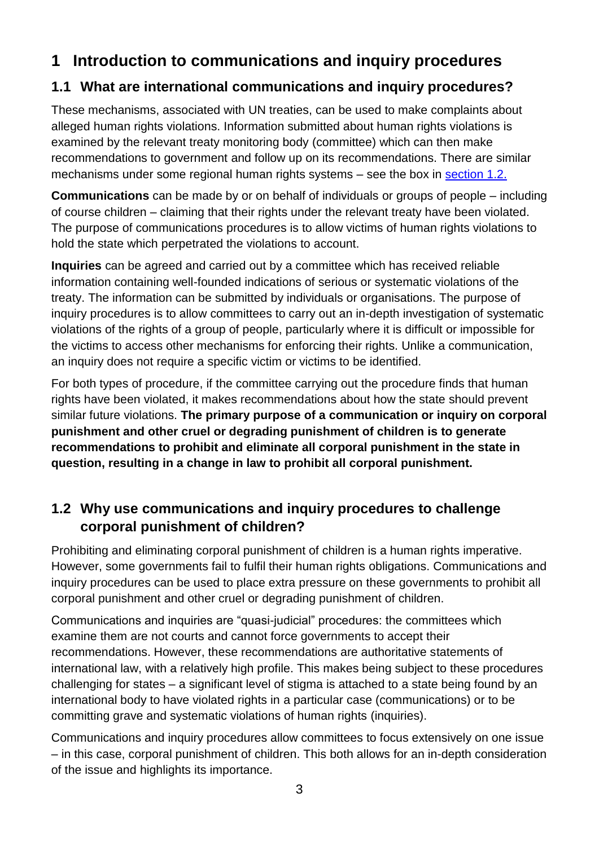## <span id="page-2-0"></span>**1 Introduction to communications and inquiry procedures**

## <span id="page-2-1"></span>**1.1 What are international communications and inquiry procedures?**

These mechanisms, associated with UN treaties, can be used to make complaints about alleged human rights violations. Information submitted about human rights violations is examined by the relevant treaty monitoring body (committee) which can then make recommendations to government and follow up on its recommendations. There are similar mechanisms under some regional human rights systems – see the box in [section 1.2.](#page-2-2)

**Communications** can be made by or on behalf of individuals or groups of people – including of course children – claiming that their rights under the relevant treaty have been violated. The purpose of communications procedures is to allow victims of human rights violations to hold the state which perpetrated the violations to account.

**Inquiries** can be agreed and carried out by a committee which has received reliable information containing well-founded indications of serious or systematic violations of the treaty. The information can be submitted by individuals or organisations. The purpose of inquiry procedures is to allow committees to carry out an in-depth investigation of systematic violations of the rights of a group of people, particularly where it is difficult or impossible for the victims to access other mechanisms for enforcing their rights. Unlike a communication, an inquiry does not require a specific victim or victims to be identified.

For both types of procedure, if the committee carrying out the procedure finds that human rights have been violated, it makes recommendations about how the state should prevent similar future violations. **The primary purpose of a communication or inquiry on corporal punishment and other cruel or degrading punishment of children is to generate recommendations to prohibit and eliminate all corporal punishment in the state in question, resulting in a change in law to prohibit all corporal punishment.**

## <span id="page-2-2"></span>**1.2 Why use communications and inquiry procedures to challenge corporal punishment of children?**

Prohibiting and eliminating corporal punishment of children is a human rights imperative. However, some governments fail to fulfil their human rights obligations. Communications and inquiry procedures can be used to place extra pressure on these governments to prohibit all corporal punishment and other cruel or degrading punishment of children.

Communications and inquiries are "quasi-judicial" procedures: the committees which examine them are not courts and cannot force governments to accept their recommendations. However, these recommendations are authoritative statements of international law, with a relatively high profile. This makes being subject to these procedures challenging for states – a significant level of stigma is attached to a state being found by an international body to have violated rights in a particular case (communications) or to be committing grave and systematic violations of human rights (inquiries).

Communications and inquiry procedures allow committees to focus extensively on one issue – in this case, corporal punishment of children. This both allows for an in-depth consideration of the issue and highlights its importance.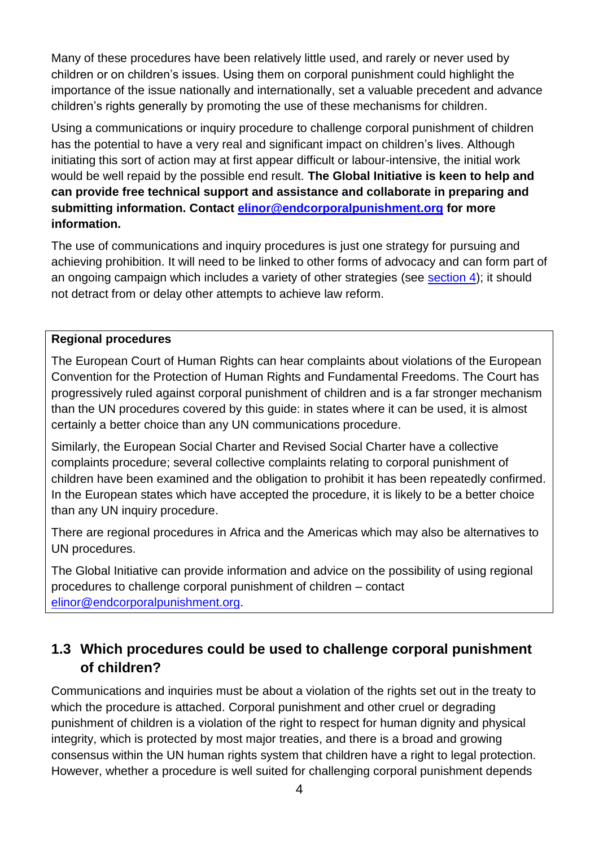Many of these procedures have been relatively little used, and rarely or never used by children or on children's issues. Using them on corporal punishment could highlight the importance of the issue nationally and internationally, set a valuable precedent and advance children's rights generally by promoting the use of these mechanisms for children.

Using a communications or inquiry procedure to challenge corporal punishment of children has the potential to have a very real and significant impact on children's lives. Although initiating this sort of action may at first appear difficult or labour-intensive, the initial work would be well repaid by the possible end result. **The Global Initiative is keen to help and can provide free technical support and assistance and collaborate in preparing and submitting information. Contact [elinor@endcorporalpunishment.org](mailto:elinor@endcorporalpunishment.org) for more information.** 

The use of communications and inquiry procedures is just one strategy for pursuing and achieving prohibition. It will need to be linked to other forms of advocacy and can form part of an ongoing campaign which includes a variety of other strategies (see [section 4\)](#page-17-0); it should not detract from or delay other attempts to achieve law reform.

#### **Regional procedures**

The European Court of Human Rights can hear complaints about violations of the European Convention for the Protection of Human Rights and Fundamental Freedoms. The Court has progressively ruled against corporal punishment of children and is a far stronger mechanism than the UN procedures covered by this guide: in states where it can be used, it is almost certainly a better choice than any UN communications procedure.

Similarly, the European Social Charter and Revised Social Charter have a collective complaints procedure; several collective complaints relating to corporal punishment of children have been examined and the obligation to prohibit it has been repeatedly confirmed. In the European states which have accepted the procedure, it is likely to be a better choice than any UN inquiry procedure.

There are regional procedures in Africa and the Americas which may also be alternatives to UN procedures.

The Global Initiative can provide information and advice on the possibility of using regional procedures to challenge corporal punishment of children – contact [elinor@endcorporalpunishment.org.](mailto:elinor@endcorporalpunishment.org)

## <span id="page-3-0"></span>**1.3 Which procedures could be used to challenge corporal punishment of children?**

Communications and inquiries must be about a violation of the rights set out in the treaty to which the procedure is attached. Corporal punishment and other cruel or degrading punishment of children is a violation of the right to respect for human dignity and physical integrity, which is protected by most major treaties, and there is a broad and growing consensus within the UN human rights system that children have a right to legal protection. However, whether a procedure is well suited for challenging corporal punishment depends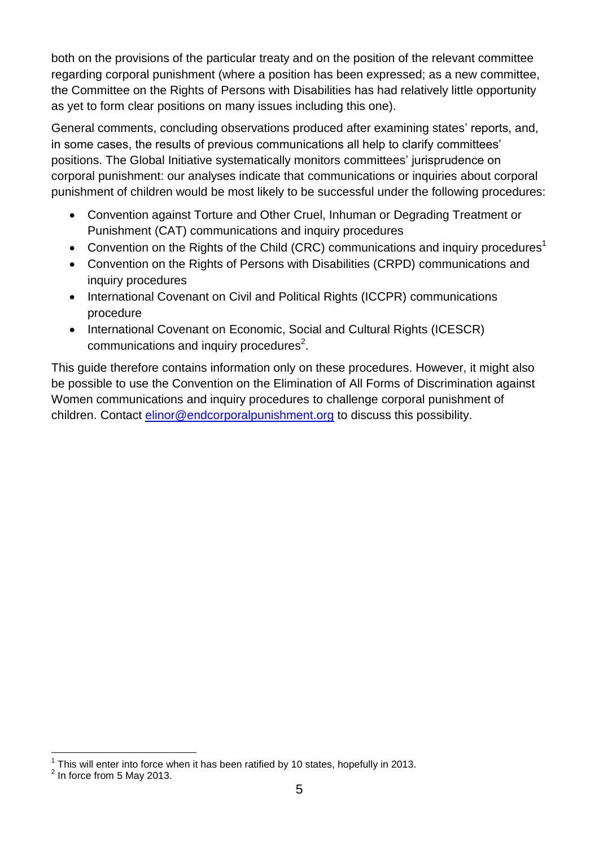both on the provisions of the particular treaty and on the position of the relevant committee regarding corporal punishment (where a position has been expressed; as a new committee, the Committee on the Rights of Persons with Disabilities has had relatively little opportunity as yet to form clear positions on many issues including this one).

General comments, concluding observations produced after examining states' reports, and, in some cases, the results of previous communications all help to clarify committees' positions. The Global Initiative systematically monitors committees' jurisprudence on corporal punishment: our analyses indicate that communications or inquiries about corporal punishment of children would be most likely to be successful under the following procedures:

- Convention against Torture and Other Cruel, Inhuman or Degrading Treatment or Punishment (CAT) communications and inquiry procedures
- <span id="page-4-0"></span>Convention on the Rights of the Child (CRC) communications and inquiry procedures<sup>1</sup>
- Convention on the Rights of Persons with Disabilities (CRPD) communications and inquiry procedures
- International Covenant on Civil and Political Rights (ICCPR) communications procedure
- <span id="page-4-1"></span>• International Covenant on Economic, Social and Cultural Rights (ICESCR) communications and inquiry procedures $2$ .

<span id="page-4-2"></span>This guide therefore contains information only on these procedures. However, it might also be possible to use the Convention on the Elimination of All Forms of Discrimination against Women communications and inquiry procedures to challenge corporal punishment of children. Contact [elinor@endcorporalpunishment.org](mailto:elinor@endcorporalpunishment.org) to discuss this possibility.

<sup>1</sup>  $1$  This will enter into force when it has been ratified by 10 states, hopefully in 2013.

 $<sup>2</sup>$  In force from 5 May 2013.</sup>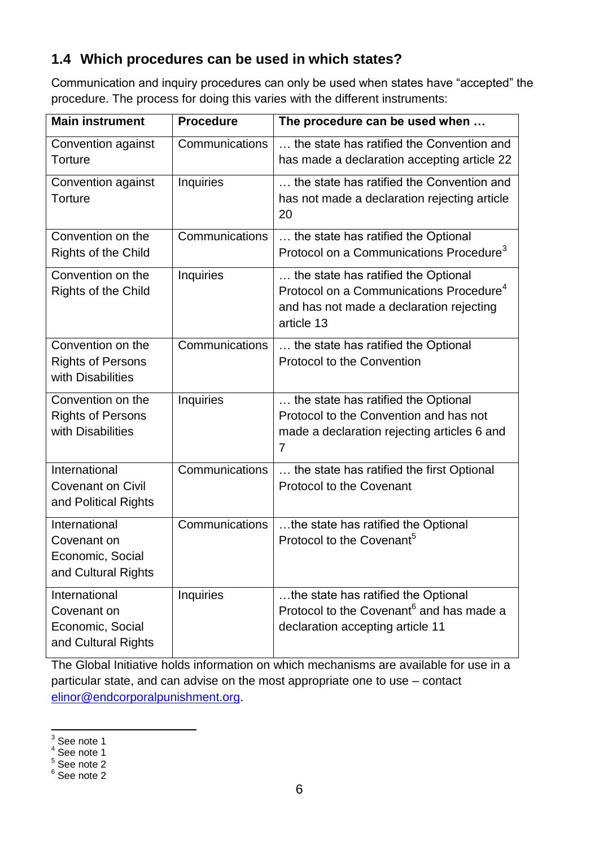## <span id="page-5-0"></span>**1.4 Which procedures can be used in which states?**

Communication and inquiry procedures can only be used when states have "accepted" the procedure. The process for doing this varies with the different instruments:

| <b>Main instrument</b>                                                  | <b>Procedure</b> | The procedure can be used when                                                                                                                       |
|-------------------------------------------------------------------------|------------------|------------------------------------------------------------------------------------------------------------------------------------------------------|
| Convention against<br><b>Torture</b>                                    | Communications   | the state has ratified the Convention and<br>has made a declaration accepting article 22                                                             |
| Convention against<br><b>Torture</b>                                    | <b>Inquiries</b> | the state has ratified the Convention and<br>has not made a declaration rejecting article<br>20                                                      |
| Convention on the<br><b>Rights of the Child</b>                         | Communications   | the state has ratified the Optional<br>Protocol on a Communications Procedure <sup>3</sup>                                                           |
| Convention on the<br><b>Rights of the Child</b>                         | Inquiries        | the state has ratified the Optional<br>Protocol on a Communications Procedure <sup>4</sup><br>and has not made a declaration rejecting<br>article 13 |
| Convention on the<br><b>Rights of Persons</b><br>with Disabilities      | Communications   | the state has ratified the Optional<br>Protocol to the Convention                                                                                    |
| Convention on the<br><b>Rights of Persons</b><br>with Disabilities      | <b>Inquiries</b> | the state has ratified the Optional<br>Protocol to the Convention and has not<br>made a declaration rejecting articles 6 and<br>$\overline{7}$       |
| International<br><b>Covenant on Civil</b><br>and Political Rights       | Communications   | the state has ratified the first Optional<br><b>Protocol to the Covenant</b>                                                                         |
| International<br>Covenant on<br>Economic, Social<br>and Cultural Rights | Communications   | the state has ratified the Optional<br>Protocol to the Covenant <sup>5</sup>                                                                         |
| International<br>Covenant on<br>Economic, Social<br>and Cultural Rights | <b>Inquiries</b> | the state has ratified the Optional<br>Protocol to the Covenant <sup>6</sup> and has made a<br>declaration accepting article 11                      |

The Global Initiative holds information on which mechanisms are available for use in a particular state, and can advise on the most appropriate one to use – contact [elinor@endcorporalpunishment.org.](mailto:elinor@endcorporalpunishment.org)

 $\frac{1}{3}$  See note [1](#page-4-0)

<sup>4</sup> See note [1](#page-4-0)

<sup>5</sup> See note [2](#page-4-1)

<sup>6</sup> See note [2](#page-4-1)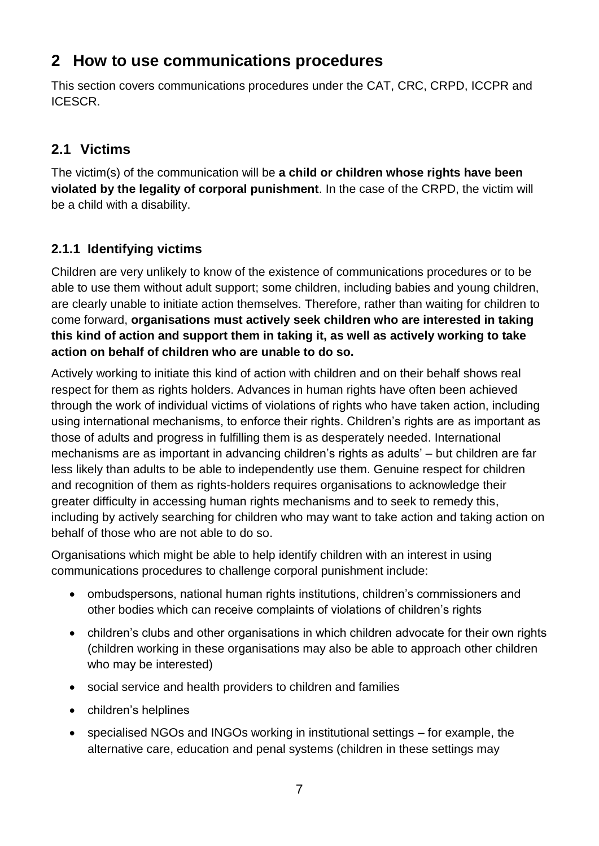## <span id="page-6-0"></span>**2 How to use communications procedures**

This section covers communications procedures under the CAT, CRC, CRPD, ICCPR and ICESCR.

### <span id="page-6-1"></span>**2.1 Victims**

The victim(s) of the communication will be **a child or children whose rights have been violated by the legality of corporal punishment**. In the case of the CRPD, the victim will be a child with a disability.

### <span id="page-6-2"></span>**2.1.1 Identifying victims**

Children are very unlikely to know of the existence of communications procedures or to be able to use them without adult support; some children, including babies and young children, are clearly unable to initiate action themselves. Therefore, rather than waiting for children to come forward, **organisations must actively seek children who are interested in taking this kind of action and support them in taking it, as well as actively working to take action on behalf of children who are unable to do so.** 

Actively working to initiate this kind of action with children and on their behalf shows real respect for them as rights holders. Advances in human rights have often been achieved through the work of individual victims of violations of rights who have taken action, including using international mechanisms, to enforce their rights. Children's rights are as important as those of adults and progress in fulfilling them is as desperately needed. International mechanisms are as important in advancing children's rights as adults' – but children are far less likely than adults to be able to independently use them. Genuine respect for children and recognition of them as rights-holders requires organisations to acknowledge their greater difficulty in accessing human rights mechanisms and to seek to remedy this, including by actively searching for children who may want to take action and taking action on behalf of those who are not able to do so.

Organisations which might be able to help identify children with an interest in using communications procedures to challenge corporal punishment include:

- ombudspersons, national human rights institutions, children's commissioners and other bodies which can receive complaints of violations of children's rights
- children's clubs and other organisations in which children advocate for their own rights (children working in these organisations may also be able to approach other children who may be interested)
- social service and health providers to children and families
- children's helplines
- specialised NGOs and INGOs working in institutional settings for example, the alternative care, education and penal systems (children in these settings may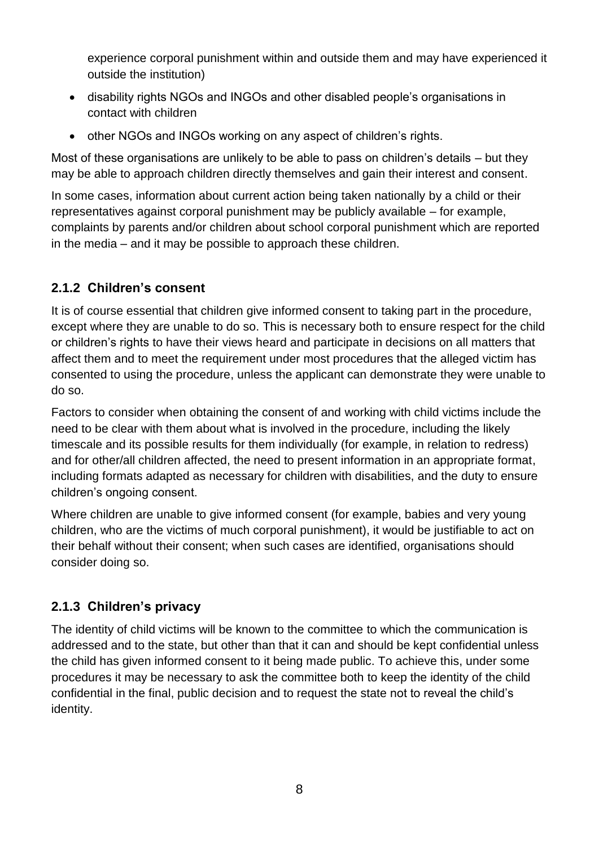experience corporal punishment within and outside them and may have experienced it outside the institution)

- disability rights NGOs and INGOs and other disabled people's organisations in contact with children
- other NGOs and INGOs working on any aspect of children's rights.

Most of these organisations are unlikely to be able to pass on children's details – but they may be able to approach children directly themselves and gain their interest and consent.

In some cases, information about current action being taken nationally by a child or their representatives against corporal punishment may be publicly available – for example, complaints by parents and/or children about school corporal punishment which are reported in the media – and it may be possible to approach these children.

#### <span id="page-7-0"></span>**2.1.2 Children's consent**

It is of course essential that children give informed consent to taking part in the procedure, except where they are unable to do so. This is necessary both to ensure respect for the child or children's rights to have their views heard and participate in decisions on all matters that affect them and to meet the requirement under most procedures that the alleged victim has consented to using the procedure, unless the applicant can demonstrate they were unable to do so.

Factors to consider when obtaining the consent of and working with child victims include the need to be clear with them about what is involved in the procedure, including the likely timescale and its possible results for them individually (for example, in relation to redress) and for other/all children affected, the need to present information in an appropriate format, including formats adapted as necessary for children with disabilities, and the duty to ensure children's ongoing consent.

Where children are unable to give informed consent (for example, babies and very young children, who are the victims of much corporal punishment), it would be justifiable to act on their behalf without their consent; when such cases are identified, organisations should consider doing so.

#### <span id="page-7-1"></span>**2.1.3 Children's privacy**

<span id="page-7-2"></span>The identity of child victims will be known to the committee to which the communication is addressed and to the state, but other than that it can and should be kept confidential unless the child has given informed consent to it being made public. To achieve this, under some procedures it may be necessary to ask the committee both to keep the identity of the child confidential in the final, public decision and to request the state not to reveal the child's identity.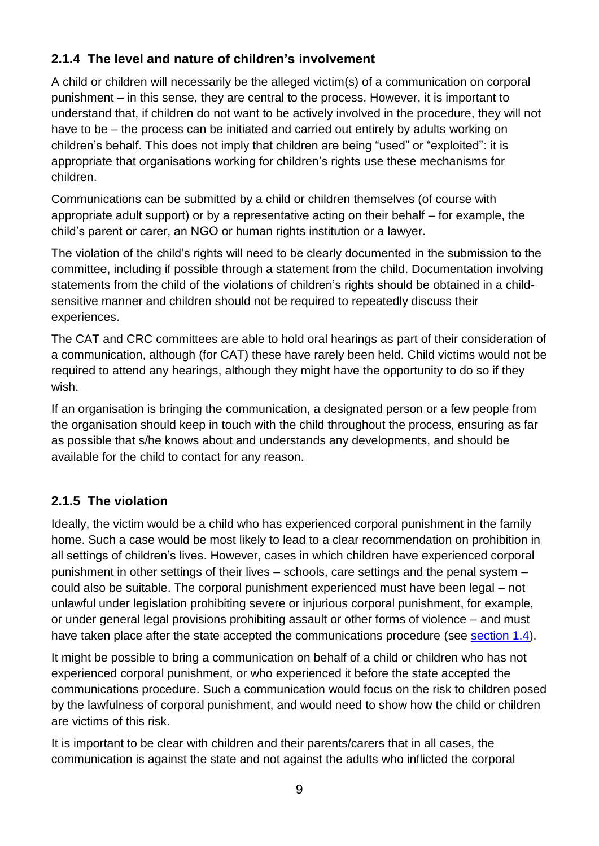## **2.1.4 The level and nature of children's involvement**

A child or children will necessarily be the alleged victim(s) of a communication on corporal punishment – in this sense, they are central to the process. However, it is important to understand that, if children do not want to be actively involved in the procedure, they will not have to be – the process can be initiated and carried out entirely by adults working on children's behalf. This does not imply that children are being "used" or "exploited": it is appropriate that organisations working for children's rights use these mechanisms for children.

Communications can be submitted by a child or children themselves (of course with appropriate adult support) or by a representative acting on their behalf – for example, the child's parent or carer, an NGO or human rights institution or a lawyer.

The violation of the child's rights will need to be clearly documented in the submission to the committee, including if possible through a statement from the child. Documentation involving statements from the child of the violations of children's rights should be obtained in a childsensitive manner and children should not be required to repeatedly discuss their experiences.

The CAT and CRC committees are able to hold oral hearings as part of their consideration of a communication, although (for CAT) these have rarely been held. Child victims would not be required to attend any hearings, although they might have the opportunity to do so if they wish.

If an organisation is bringing the communication, a designated person or a few people from the organisation should keep in touch with the child throughout the process, ensuring as far as possible that s/he knows about and understands any developments, and should be available for the child to contact for any reason.

#### <span id="page-8-0"></span>**2.1.5 The violation**

Ideally, the victim would be a child who has experienced corporal punishment in the family home. Such a case would be most likely to lead to a clear recommendation on prohibition in all settings of children's lives. However, cases in which children have experienced corporal punishment in other settings of their lives – schools, care settings and the penal system – could also be suitable. The corporal punishment experienced must have been legal – not unlawful under legislation prohibiting severe or injurious corporal punishment, for example, or under general legal provisions prohibiting assault or other forms of violence – and must have taken place after the state accepted the communications procedure (see [section 1.4\)](#page-4-2).

It might be possible to bring a communication on behalf of a child or children who has not experienced corporal punishment, or who experienced it before the state accepted the communications procedure. Such a communication would focus on the risk to children posed by the lawfulness of corporal punishment, and would need to show how the child or children are victims of this risk.

It is important to be clear with children and their parents/carers that in all cases, the communication is against the state and not against the adults who inflicted the corporal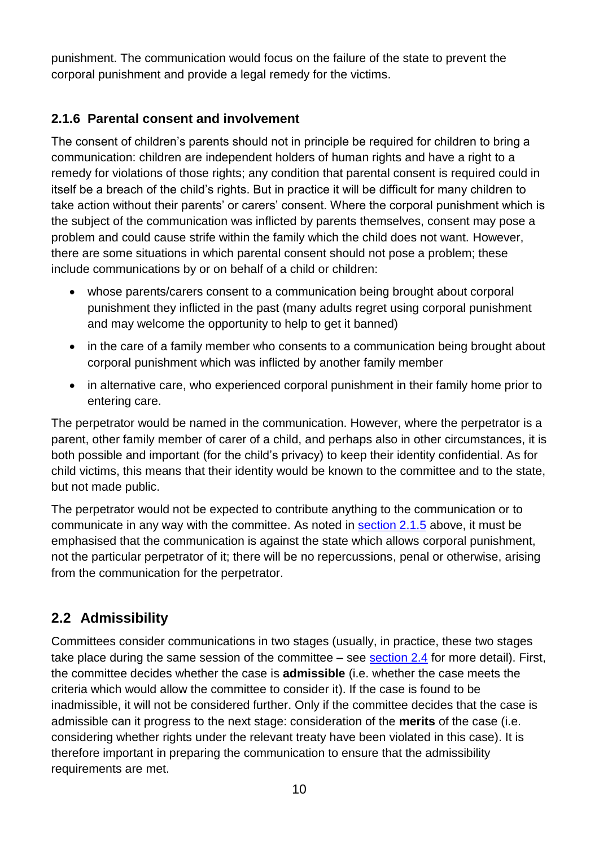punishment. The communication would focus on the failure of the state to prevent the corporal punishment and provide a legal remedy for the victims.

#### <span id="page-9-0"></span>**2.1.6 Parental consent and involvement**

The consent of children's parents should not in principle be required for children to bring a communication: children are independent holders of human rights and have a right to a remedy for violations of those rights; any condition that parental consent is required could in itself be a breach of the child's rights. But in practice it will be difficult for many children to take action without their parents' or carers' consent. Where the corporal punishment which is the subject of the communication was inflicted by parents themselves, consent may pose a problem and could cause strife within the family which the child does not want. However, there are some situations in which parental consent should not pose a problem; these include communications by or on behalf of a child or children:

- whose parents/carers consent to a communication being brought about corporal punishment they inflicted in the past (many adults regret using corporal punishment and may welcome the opportunity to help to get it banned)
- in the care of a family member who consents to a communication being brought about corporal punishment which was inflicted by another family member
- in alternative care, who experienced corporal punishment in their family home prior to entering care.

The perpetrator would be named in the communication. However, where the perpetrator is a parent, other family member of carer of a child, and perhaps also in other circumstances, it is both possible and important (for the child's privacy) to keep their identity confidential. As for child victims, this means that their identity would be known to the committee and to the state, but not made public.

The perpetrator would not be expected to contribute anything to the communication or to communicate in any way with the committee. As noted in [section 2.1.5](#page-8-0) above, it must be emphasised that the communication is against the state which allows corporal punishment, not the particular perpetrator of it; there will be no repercussions, penal or otherwise, arising from the communication for the perpetrator.

## <span id="page-9-1"></span>**2.2 Admissibility**

Committees consider communications in two stages (usually, in practice, these two stages take place during the same session of the committee – see [section 2.4](#page-16-0) for more detail). First, the committee decides whether the case is **admissible** (i.e. whether the case meets the criteria which would allow the committee to consider it). If the case is found to be inadmissible, it will not be considered further. Only if the committee decides that the case is admissible can it progress to the next stage: consideration of the **merits** of the case (i.e. considering whether rights under the relevant treaty have been violated in this case). It is therefore important in preparing the communication to ensure that the admissibility requirements are met.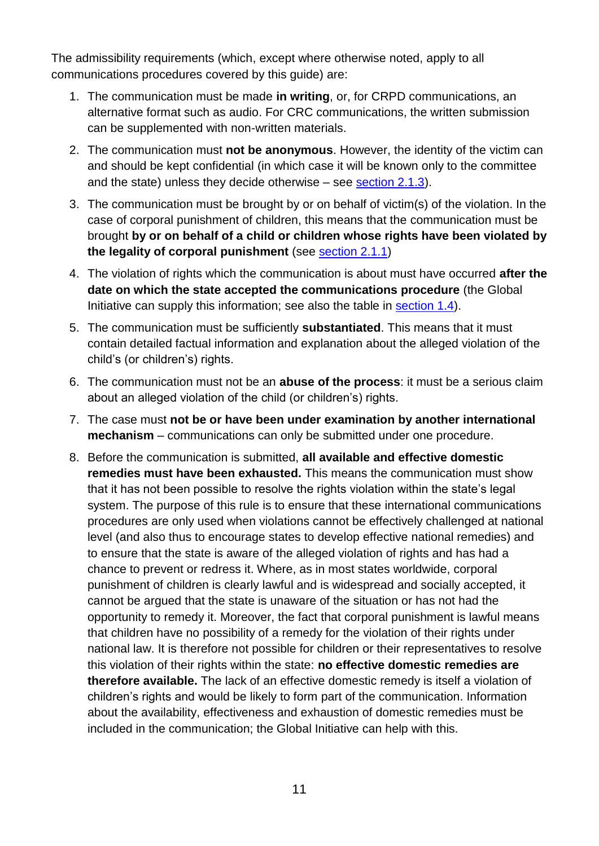The admissibility requirements (which, except where otherwise noted, apply to all communications procedures covered by this guide) are:

- 1. The communication must be made **in writing**, or, for CRPD communications, an alternative format such as audio. For CRC communications, the written submission can be supplemented with non-written materials.
- 2. The communication must **not be anonymous**. However, the identity of the victim can and should be kept confidential (in which case it will be known only to the committee and the state) unless they decide otherwise – see [section 2.1.3\)](#page-7-1).
- 3. The communication must be brought by or on behalf of victim(s) of the violation. In the case of corporal punishment of children, this means that the communication must be brought **by or on behalf of a child or children whose rights have been violated by the legality of corporal punishment** (see [section 2.1.1\)](#page-8-0)
- 4. The violation of rights which the communication is about must have occurred **after the date on which the state accepted the communications procedure** (the Global Initiative can supply this information; see also the table in [section 1.4\)](#page-4-2).
- 5. The communication must be sufficiently **substantiated**. This means that it must contain detailed factual information and explanation about the alleged violation of the child's (or children's) rights.
- 6. The communication must not be an **abuse of the process**: it must be a serious claim about an alleged violation of the child (or children's) rights.
- 7. The case must **not be or have been under examination by another international mechanism** – communications can only be submitted under one procedure.
- 8. Before the communication is submitted, **all available and effective domestic remedies must have been exhausted.** This means the communication must show that it has not been possible to resolve the rights violation within the state's legal system. The purpose of this rule is to ensure that these international communications procedures are only used when violations cannot be effectively challenged at national level (and also thus to encourage states to develop effective national remedies) and to ensure that the state is aware of the alleged violation of rights and has had a chance to prevent or redress it. Where, as in most states worldwide, corporal punishment of children is clearly lawful and is widespread and socially accepted, it cannot be argued that the state is unaware of the situation or has not had the opportunity to remedy it. Moreover, the fact that corporal punishment is lawful means that children have no possibility of a remedy for the violation of their rights under national law. It is therefore not possible for children or their representatives to resolve this violation of their rights within the state: **no effective domestic remedies are therefore available.** The lack of an effective domestic remedy is itself a violation of children's rights and would be likely to form part of the communication. Information about the availability, effectiveness and exhaustion of domestic remedies must be included in the communication; the Global Initiative can help with this.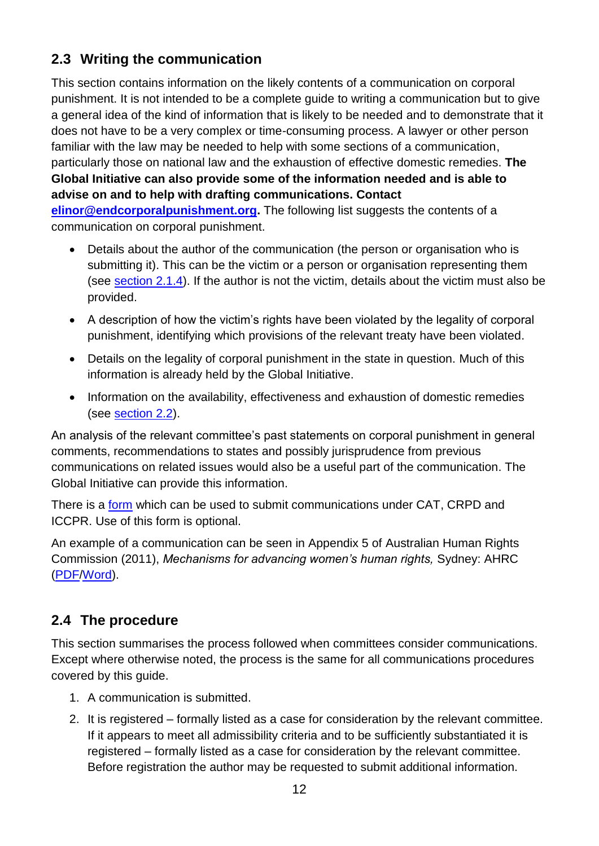## <span id="page-11-0"></span>**2.3 Writing the communication**

This section contains information on the likely contents of a communication on corporal punishment. It is not intended to be a complete guide to writing a communication but to give a general idea of the kind of information that is likely to be needed and to demonstrate that it does not have to be a very complex or time-consuming process. A lawyer or other person familiar with the law may be needed to help with some sections of a communication, particularly those on national law and the exhaustion of effective domestic remedies. **The Global Initiative can also provide some of the information needed and is able to advise on and to help with drafting communications. Contact [elinor@endcorporalpunishment.org.](mailto:elinor@endcorporalpunishment.org)** The following list suggests the contents of a communication on corporal punishment.

- Details about the author of the communication (the person or organisation who is submitting it). This can be the victim or a person or organisation representing them (see [section 2.1.4\)](#page-7-2). If the author is not the victim, details about the victim must also be provided.
- A description of how the victim's rights have been violated by the legality of corporal punishment, identifying which provisions of the relevant treaty have been violated.
- Details on the legality of corporal punishment in the state in question. Much of this information is already held by the Global Initiative.
- Information on the availability, effectiveness and exhaustion of domestic remedies (see [section 2.2\)](#page-9-1).

An analysis of the relevant committee's past statements on corporal punishment in general comments, recommendations to states and possibly jurisprudence from previous communications on related issues would also be a useful part of the communication. The Global Initiative can provide this information.

There is a [form](http://www.ohchr.org/EN/HRBodies/CRPD/Pages/IndividualComplaints.aspx) which can be used to submit communications under CAT, CRPD and ICCPR. Use of this form is optional.

An example of a communication can be seen in Appendix 5 of Australian Human Rights Commission (2011), *Mechanisms for advancing women's human rights,* Sydney: AHRC [\(PDF](http://humanrights.gov.au/sex_discrimination/publication/mechanisms/opcedaw.pdf)[/Word\)](http://humanrights.gov.au/sex_discrimination/publication/mechanisms/opcedaw.doc).

## <span id="page-11-1"></span>**2.4 The procedure**

This section summarises the process followed when committees consider communications. Except where otherwise noted, the process is the same for all communications procedures covered by this guide.

- 1. A communication is submitted.
- 2. It is registered formally listed as a case for consideration by the relevant committee. If it appears to meet all admissibility criteria and to be sufficiently substantiated it is registered – formally listed as a case for consideration by the relevant committee. Before registration the author may be requested to submit additional information.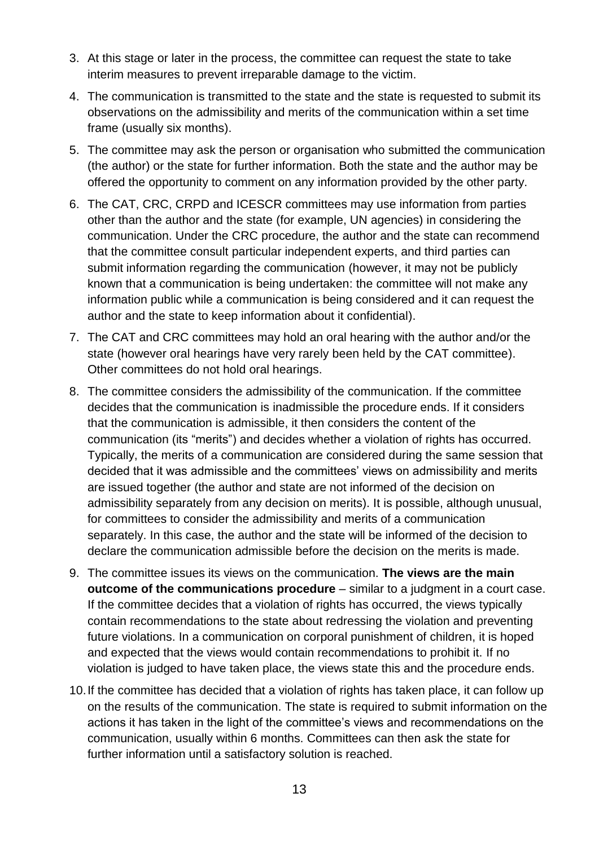- 3. At this stage or later in the process, the committee can request the state to take interim measures to prevent irreparable damage to the victim.
- 4. The communication is transmitted to the state and the state is requested to submit its observations on the admissibility and merits of the communication within a set time frame (usually six months).
- 5. The committee may ask the person or organisation who submitted the communication (the author) or the state for further information. Both the state and the author may be offered the opportunity to comment on any information provided by the other party.
- 6. The CAT, CRC, CRPD and ICESCR committees may use information from parties other than the author and the state (for example, UN agencies) in considering the communication. Under the CRC procedure, the author and the state can recommend that the committee consult particular independent experts, and third parties can submit information regarding the communication (however, it may not be publicly known that a communication is being undertaken: the committee will not make any information public while a communication is being considered and it can request the author and the state to keep information about it confidential).
- 7. The CAT and CRC committees may hold an oral hearing with the author and/or the state (however oral hearings have very rarely been held by the CAT committee). Other committees do not hold oral hearings.
- 8. The committee considers the admissibility of the communication. If the committee decides that the communication is inadmissible the procedure ends. If it considers that the communication is admissible, it then considers the content of the communication (its "merits") and decides whether a violation of rights has occurred. Typically, the merits of a communication are considered during the same session that decided that it was admissible and the committees' views on admissibility and merits are issued together (the author and state are not informed of the decision on admissibility separately from any decision on merits). It is possible, although unusual, for committees to consider the admissibility and merits of a communication separately. In this case, the author and the state will be informed of the decision to declare the communication admissible before the decision on the merits is made.
- 9. The committee issues its views on the communication. **The views are the main outcome of the communications procedure** – similar to a judgment in a court case. If the committee decides that a violation of rights has occurred, the views typically contain recommendations to the state about redressing the violation and preventing future violations. In a communication on corporal punishment of children, it is hoped and expected that the views would contain recommendations to prohibit it. If no violation is judged to have taken place, the views state this and the procedure ends.
- 10.If the committee has decided that a violation of rights has taken place, it can follow up on the results of the communication. The state is required to submit information on the actions it has taken in the light of the committee's views and recommendations on the communication, usually within 6 months. Committees can then ask the state for further information until a satisfactory solution is reached.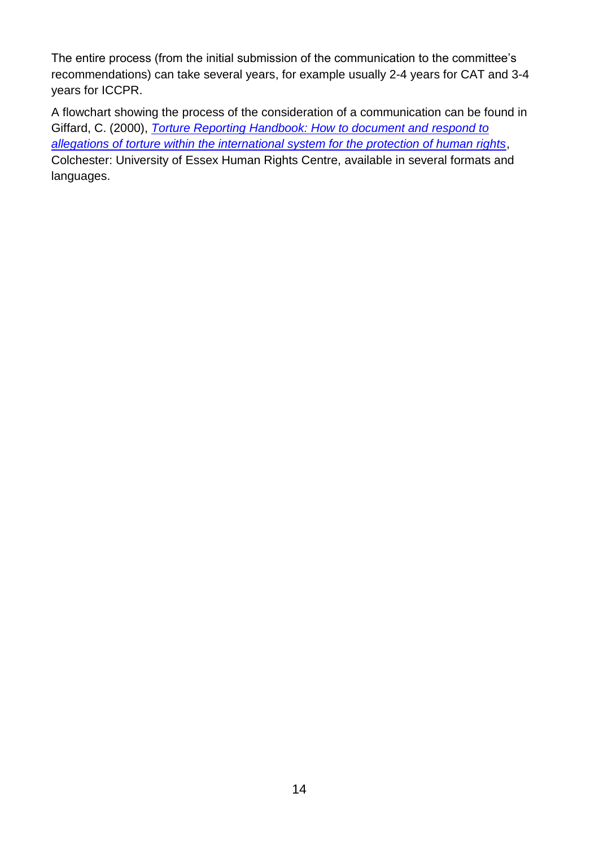The entire process (from the initial submission of the communication to the committee's recommendations) can take several years, for example usually 2-4 years for CAT and 3-4 years for ICCPR.

A flowchart showing the process of the consideration of a communication can be found in Giffard, C. (2000), *[Torture Reporting Handbook: How to document and respond to](http://www.essex.ac.uk/Torturehandbook/index.htm)  [allegations of torture within the international system for the protection of human rights](http://www.essex.ac.uk/Torturehandbook/index.htm)*, Colchester: University of Essex Human Rights Centre, available in several formats and languages.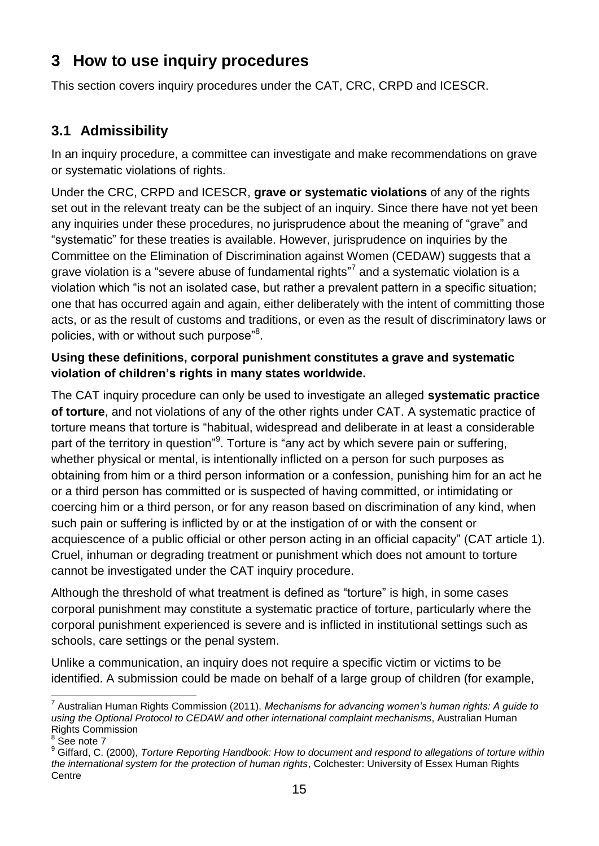## <span id="page-14-0"></span>**3 How to use inquiry procedures**

This section covers inquiry procedures under the CAT, CRC, CRPD and ICESCR.

## <span id="page-14-1"></span>**3.1 Admissibility**

In an inquiry procedure, a committee can investigate and make recommendations on grave or systematic violations of rights.

<span id="page-14-2"></span>Under the CRC, CRPD and ICESCR, **grave or systematic violations** of any of the rights set out in the relevant treaty can be the subject of an inquiry. Since there have not yet been any inquiries under these procedures, no jurisprudence about the meaning of "grave" and "systematic" for these treaties is available. However, jurisprudence on inquiries by the Committee on the Elimination of Discrimination against Women (CEDAW) suggests that a grave violation is a "severe abuse of fundamental rights"<sup>7</sup> and a systematic violation is a violation which "is not an isolated case, but rather a prevalent pattern in a specific situation; one that has occurred again and again, either deliberately with the intent of committing those acts, or as the result of customs and traditions, or even as the result of discriminatory laws or policies, with or without such purpose"<sup>8</sup>.

#### **Using these definitions, corporal punishment constitutes a grave and systematic violation of children's rights in many states worldwide.**

The CAT inquiry procedure can only be used to investigate an alleged **systematic practice of torture**, and not violations of any of the other rights under CAT. A systematic practice of torture means that torture is "habitual, widespread and deliberate in at least a considerable part of the territory in question"<sup>9</sup>. Torture is "any act by which severe pain or suffering, whether physical or mental, is intentionally inflicted on a person for such purposes as obtaining from him or a third person information or a confession, punishing him for an act he or a third person has committed or is suspected of having committed, or intimidating or coercing him or a third person, or for any reason based on discrimination of any kind, when such pain or suffering is inflicted by or at the instigation of or with the consent or acquiescence of a public official or other person acting in an official capacity" (CAT article 1). Cruel, inhuman or degrading treatment or punishment which does not amount to torture cannot be investigated under the CAT inquiry procedure.

Although the threshold of what treatment is defined as "torture" is high, in some cases corporal punishment may constitute a systematic practice of torture, particularly where the corporal punishment experienced is severe and is inflicted in institutional settings such as schools, care settings or the penal system.

Unlike a communication, an inquiry does not require a specific victim or victims to be identified. A submission could be made on behalf of a large group of children (for example,

<sup>1</sup> 7 Australian Human Rights Commission (2011), *Mechanisms for advancing women's human rights: A guide to using the Optional Protocol to CEDAW and other international complaint mechanisms*, Australian Human Rights Commission

<sup>&</sup>lt;sup>8</sup> See note [7](#page-14-2)

<sup>9</sup> Giffard, C. (2000), *Torture Reporting Handbook: How to document and respond to allegations of torture within the international system for the protection of human rights*, Colchester: University of Essex Human Rights **Centre**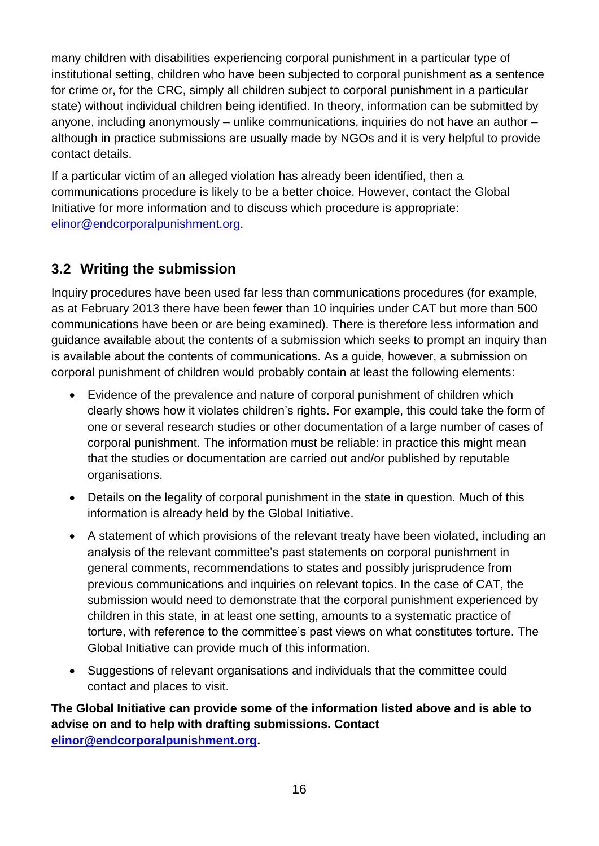many children with disabilities experiencing corporal punishment in a particular type of institutional setting, children who have been subjected to corporal punishment as a sentence for crime or, for the CRC, simply all children subject to corporal punishment in a particular state) without individual children being identified. In theory, information can be submitted by anyone, including anonymously – unlike communications, inquiries do not have an author – although in practice submissions are usually made by NGOs and it is very helpful to provide contact details.

If a particular victim of an alleged violation has already been identified, then a communications procedure is likely to be a better choice. However, contact the Global Initiative for more information and to discuss which procedure is appropriate: [elinor@endcorporalpunishment.org.](mailto:elinor@endcorporalpunishment.org)

## <span id="page-15-0"></span>**3.2 Writing the submission**

Inquiry procedures have been used far less than communications procedures (for example, as at February 2013 there have been fewer than 10 inquiries under CAT but more than 500 communications have been or are being examined). There is therefore less information and guidance available about the contents of a submission which seeks to prompt an inquiry than is available about the contents of communications. As a guide, however, a submission on corporal punishment of children would probably contain at least the following elements:

- Evidence of the prevalence and nature of corporal punishment of children which clearly shows how it violates children's rights. For example, this could take the form of one or several research studies or other documentation of a large number of cases of corporal punishment. The information must be reliable: in practice this might mean that the studies or documentation are carried out and/or published by reputable organisations.
- Details on the legality of corporal punishment in the state in question. Much of this information is already held by the Global Initiative.
- A statement of which provisions of the relevant treaty have been violated, including an analysis of the relevant committee's past statements on corporal punishment in general comments, recommendations to states and possibly jurisprudence from previous communications and inquiries on relevant topics. In the case of CAT, the submission would need to demonstrate that the corporal punishment experienced by children in this state, in at least one setting, amounts to a systematic practice of torture, with reference to the committee's past views on what constitutes torture. The Global Initiative can provide much of this information.
- Suggestions of relevant organisations and individuals that the committee could contact and places to visit.

**The Global Initiative can provide some of the information listed above and is able to advise on and to help with drafting submissions. Contact [elinor@endcorporalpunishment.org.](mailto:elinor@endcorporalpunishment.org)**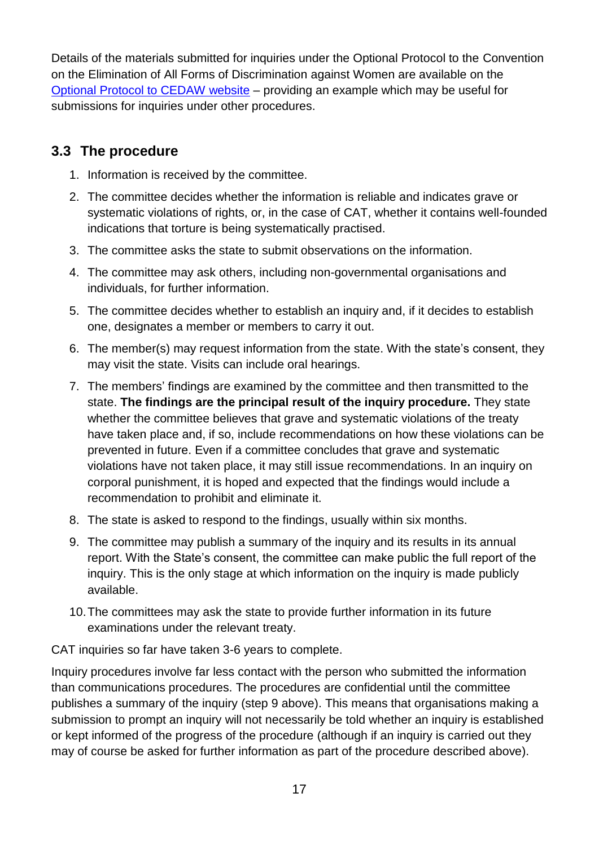Details of the materials submitted for inquiries under the Optional Protocol to the Convention on the Elimination of All Forms of Discrimination against Women are available on the [Optional Protocol to CEDAW website](http://opcedaw.wordpress.com/inquiries/all-inquiries/) – providing an example which may be useful for submissions for inquiries under other procedures.

## <span id="page-16-0"></span>**3.3 The procedure**

- 1. Information is received by the committee.
- 2. The committee decides whether the information is reliable and indicates grave or systematic violations of rights, or, in the case of CAT, whether it contains well-founded indications that torture is being systematically practised.
- 3. The committee asks the state to submit observations on the information.
- 4. The committee may ask others, including non-governmental organisations and individuals, for further information.
- 5. The committee decides whether to establish an inquiry and, if it decides to establish one, designates a member or members to carry it out.
- 6. The member(s) may request information from the state. With the state's consent, they may visit the state. Visits can include oral hearings.
- 7. The members' findings are examined by the committee and then transmitted to the state. **The findings are the principal result of the inquiry procedure.** They state whether the committee believes that grave and systematic violations of the treaty have taken place and, if so, include recommendations on how these violations can be prevented in future. Even if a committee concludes that grave and systematic violations have not taken place, it may still issue recommendations. In an inquiry on corporal punishment, it is hoped and expected that the findings would include a recommendation to prohibit and eliminate it.
- 8. The state is asked to respond to the findings, usually within six months.
- 9. The committee may publish a summary of the inquiry and its results in its annual report. With the State's consent, the committee can make public the full report of the inquiry. This is the only stage at which information on the inquiry is made publicly available.
- 10.The committees may ask the state to provide further information in its future examinations under the relevant treaty.

CAT inquiries so far have taken 3-6 years to complete.

Inquiry procedures involve far less contact with the person who submitted the information than communications procedures. The procedures are confidential until the committee publishes a summary of the inquiry (step 9 above). This means that organisations making a submission to prompt an inquiry will not necessarily be told whether an inquiry is established or kept informed of the progress of the procedure (although if an inquiry is carried out they may of course be asked for further information as part of the procedure described above).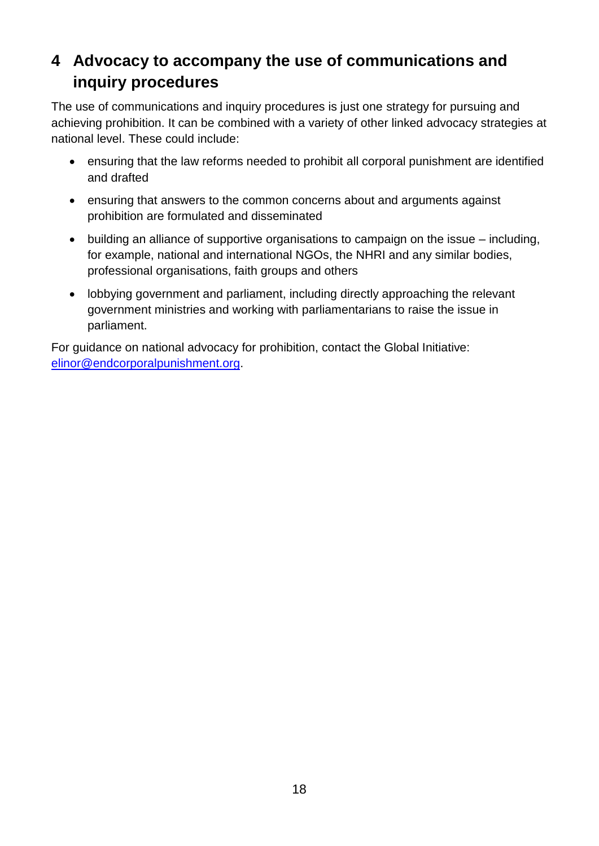## <span id="page-17-0"></span>**4 Advocacy to accompany the use of communications and inquiry procedures**

The use of communications and inquiry procedures is just one strategy for pursuing and achieving prohibition. It can be combined with a variety of other linked advocacy strategies at national level. These could include:

- ensuring that the law reforms needed to prohibit all corporal punishment are identified and drafted
- ensuring that answers to the common concerns about and arguments against prohibition are formulated and disseminated
- building an alliance of supportive organisations to campaign on the issue including, for example, national and international NGOs, the NHRI and any similar bodies, professional organisations, faith groups and others
- lobbying government and parliament, including directly approaching the relevant government ministries and working with parliamentarians to raise the issue in parliament.

For guidance on national advocacy for prohibition, contact the Global Initiative: [elinor@endcorporalpunishment.org.](mailto:elinor@endcorporalpunishment.org)